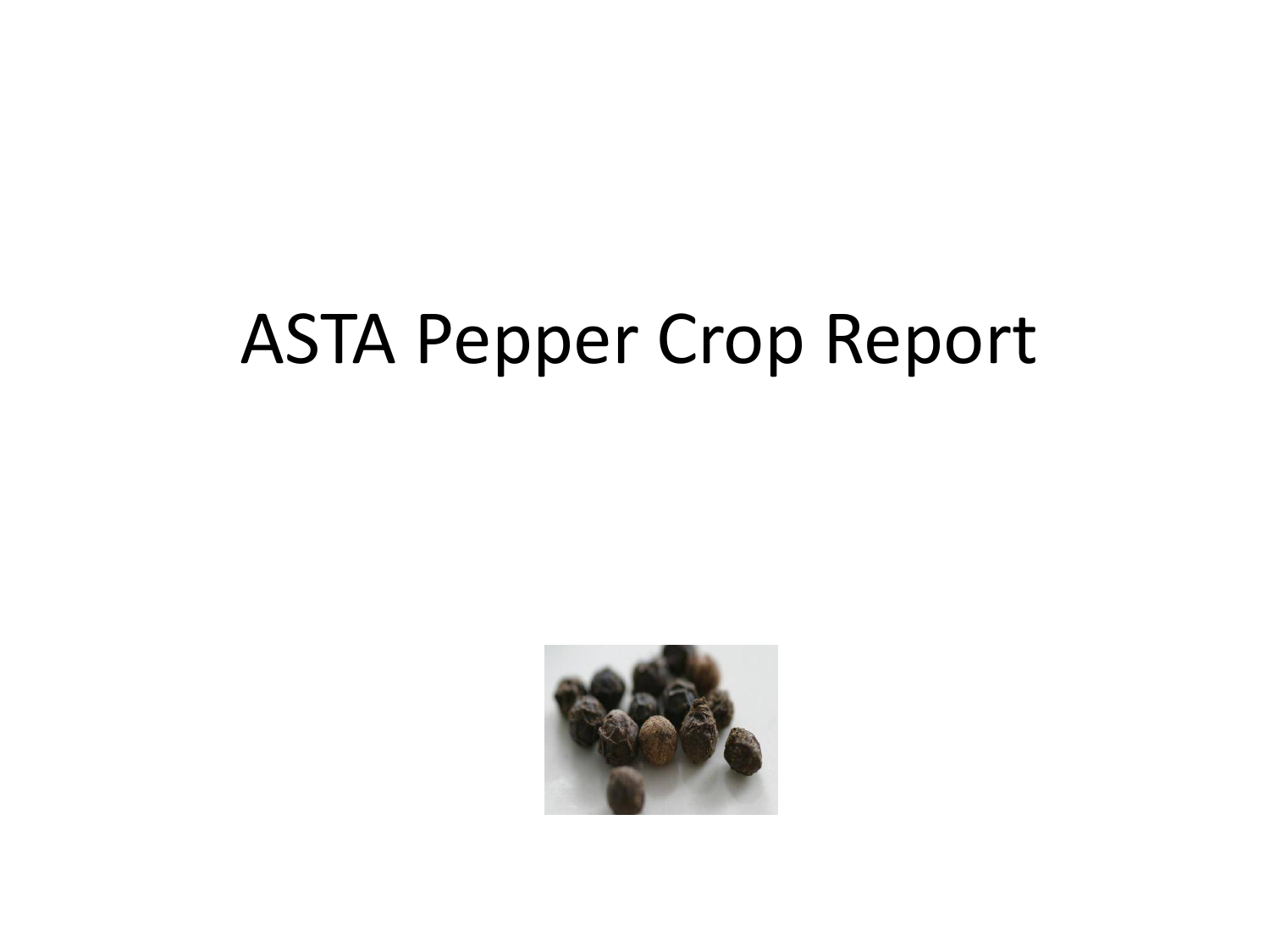## ASTA Pepper Crop Report

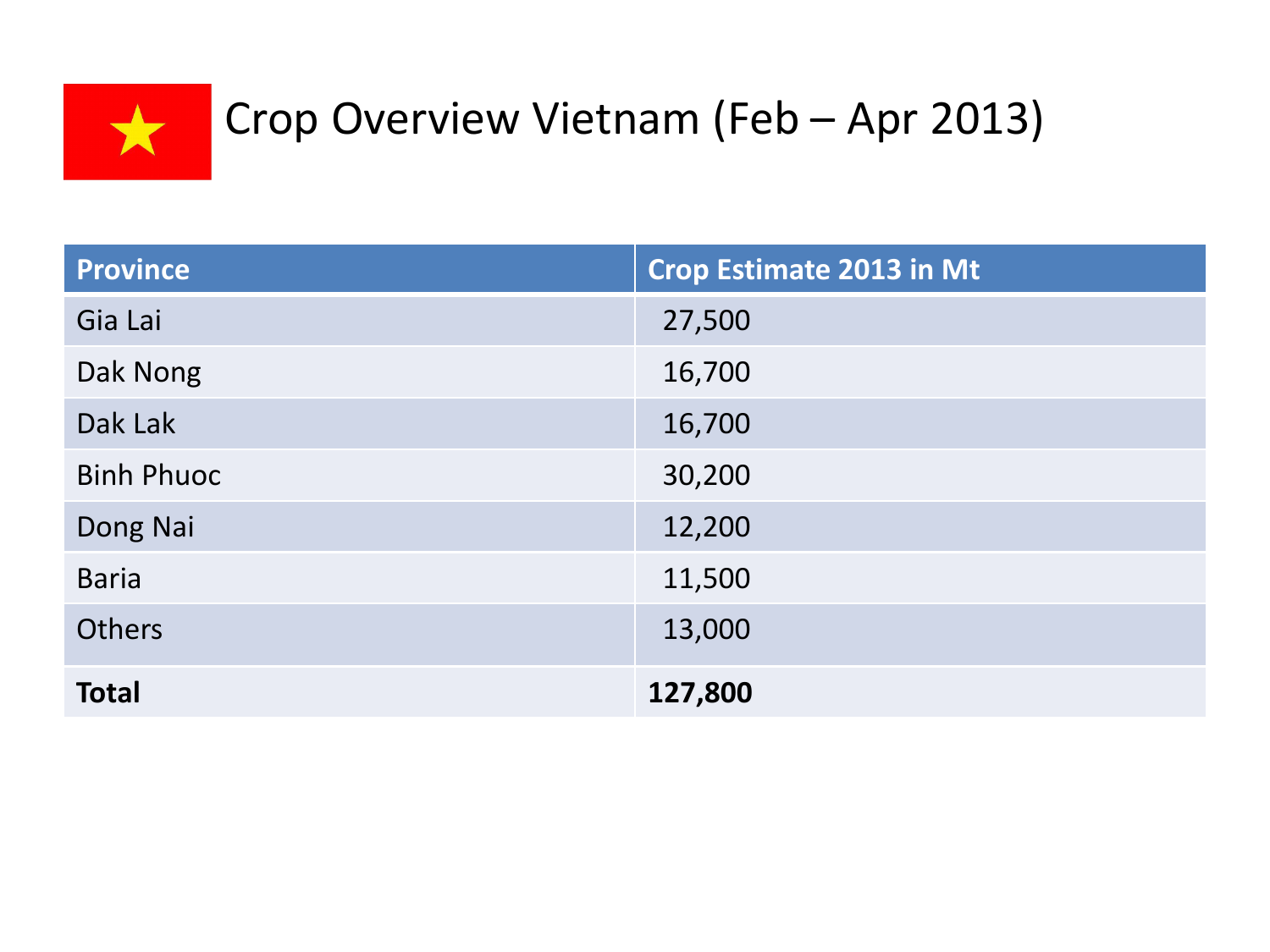

## Crop Overview Vietnam (Feb – Apr 2013)

| <b>Province</b>   | <b>Crop Estimate 2013 in Mt</b> |
|-------------------|---------------------------------|
| Gia Lai           | 27,500                          |
| Dak Nong          | 16,700                          |
| Dak Lak           | 16,700                          |
| <b>Binh Phuoc</b> | 30,200                          |
| Dong Nai          | 12,200                          |
| <b>Baria</b>      | 11,500                          |
| <b>Others</b>     | 13,000                          |
| <b>Total</b>      | 127,800                         |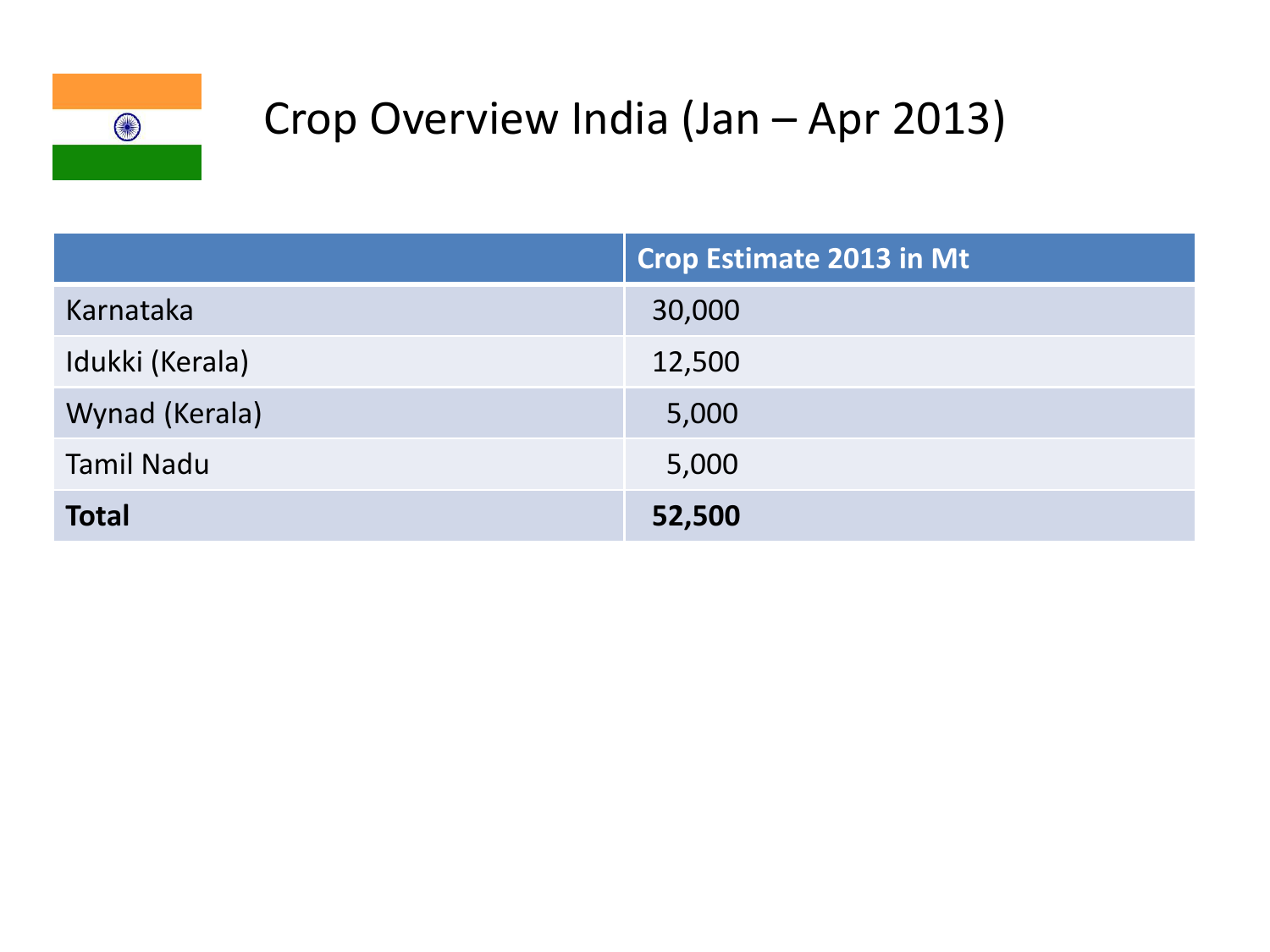

## Crop Overview India (Jan – Apr 2013)

|                   | <b>Crop Estimate 2013 in Mt</b> |
|-------------------|---------------------------------|
| Karnataka         | 30,000                          |
| Idukki (Kerala)   | 12,500                          |
| Wynad (Kerala)    | 5,000                           |
| <b>Tamil Nadu</b> | 5,000                           |
| <b>Total</b>      | 52,500                          |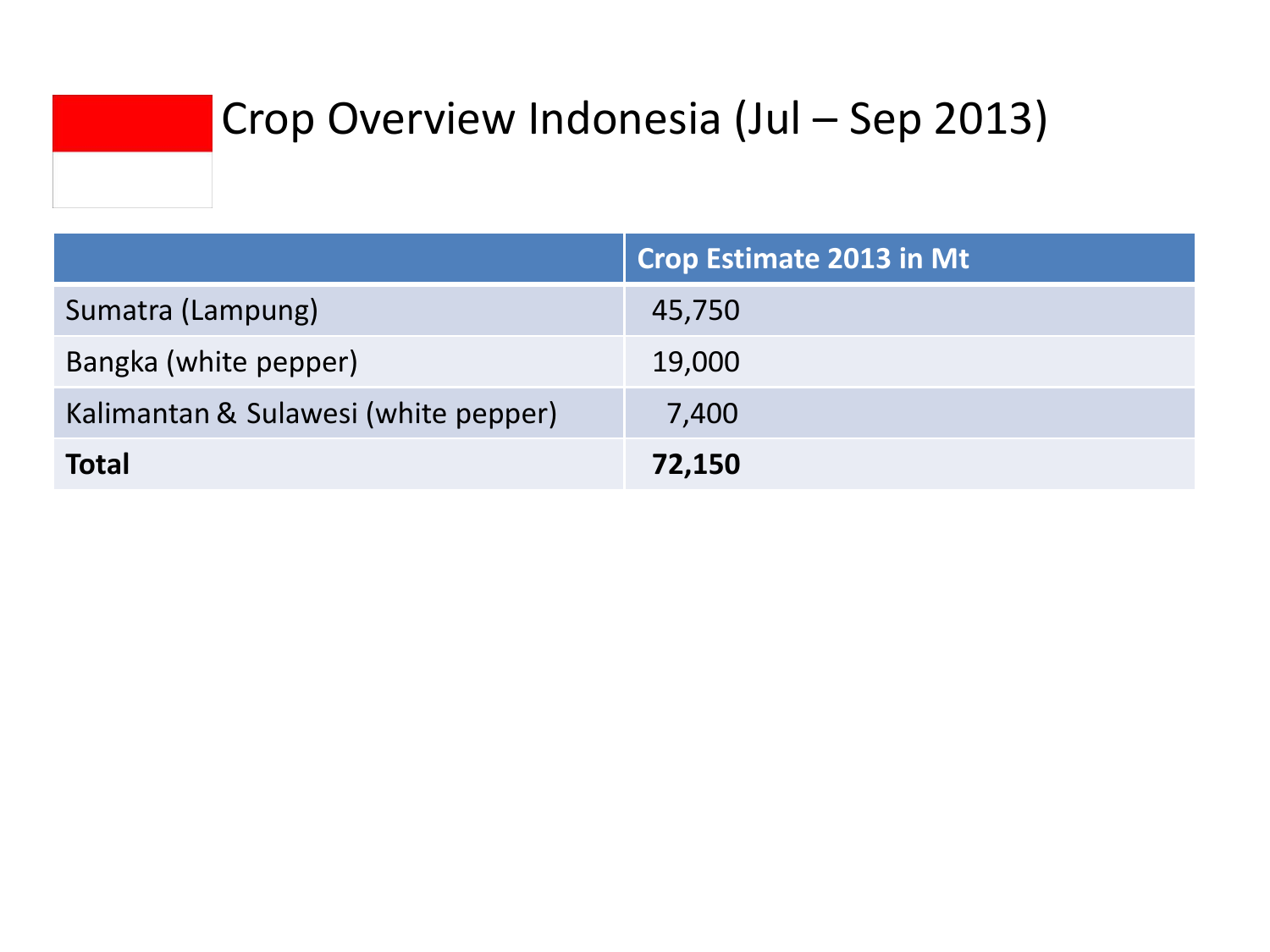### Crop Overview Indonesia (Jul – Sep 2013)

|                                      | <b>Crop Estimate 2013 in Mt</b> |
|--------------------------------------|---------------------------------|
| Sumatra (Lampung)                    | 45,750                          |
| Bangka (white pepper)                | 19,000                          |
| Kalimantan & Sulawesi (white pepper) | 7,400                           |
| <b>Total</b>                         | 72,150                          |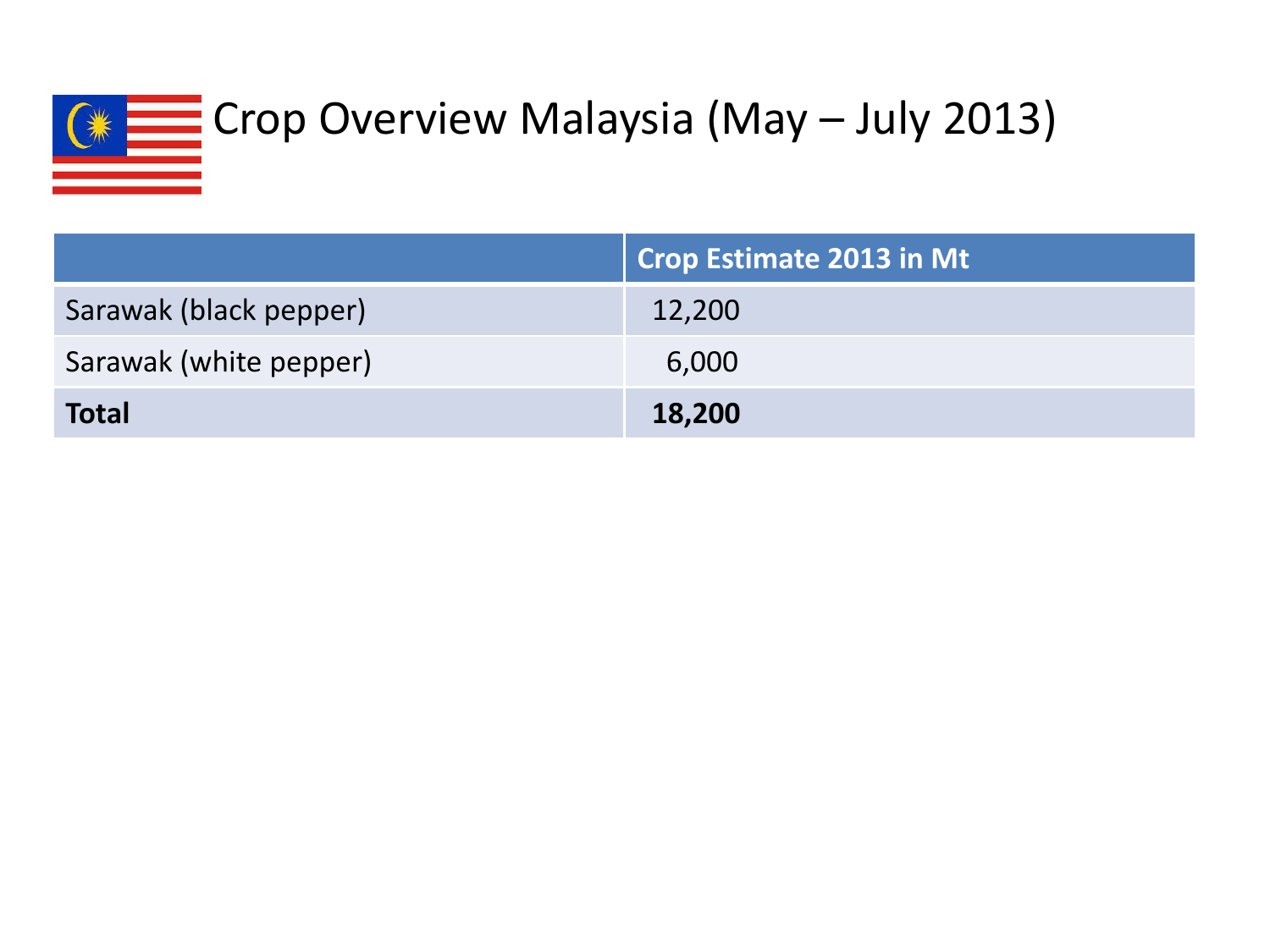# Crop Overview Malaysia (May - July 2013)

|                        | Crop Estimate 2013 in Mt |
|------------------------|--------------------------|
| Sarawak (black pepper) | 12,200                   |
| Sarawak (white pepper) | 6,000                    |
| <b>Total</b>           | 18,200                   |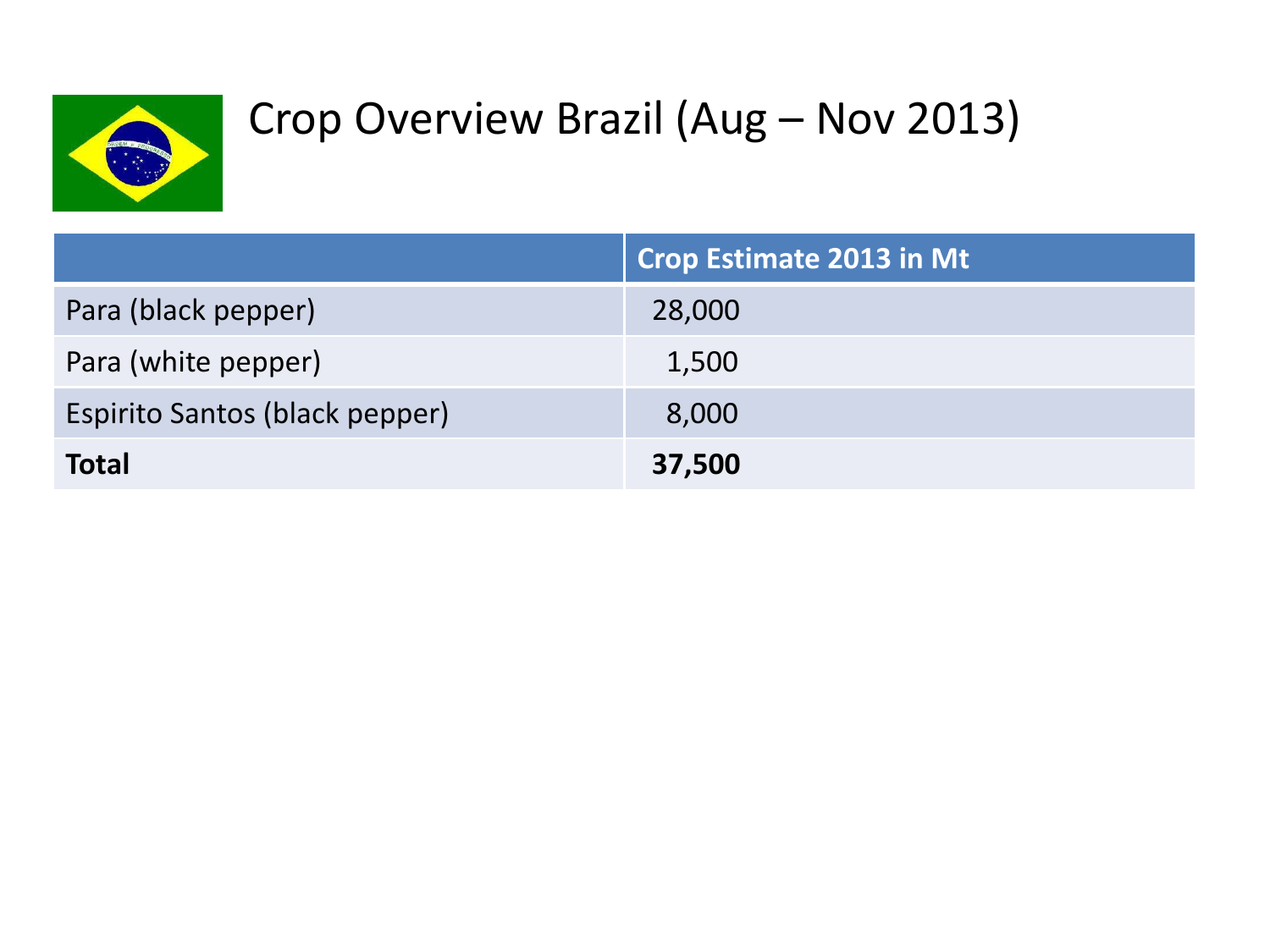

## Crop Overview Brazil (Aug – Nov 2013)

|                                | Crop Estimate 2013 in Mt |
|--------------------------------|--------------------------|
| Para (black pepper)            | 28,000                   |
| Para (white pepper)            | 1,500                    |
| Espirito Santos (black pepper) | 8,000                    |
| <b>Total</b>                   | 37,500                   |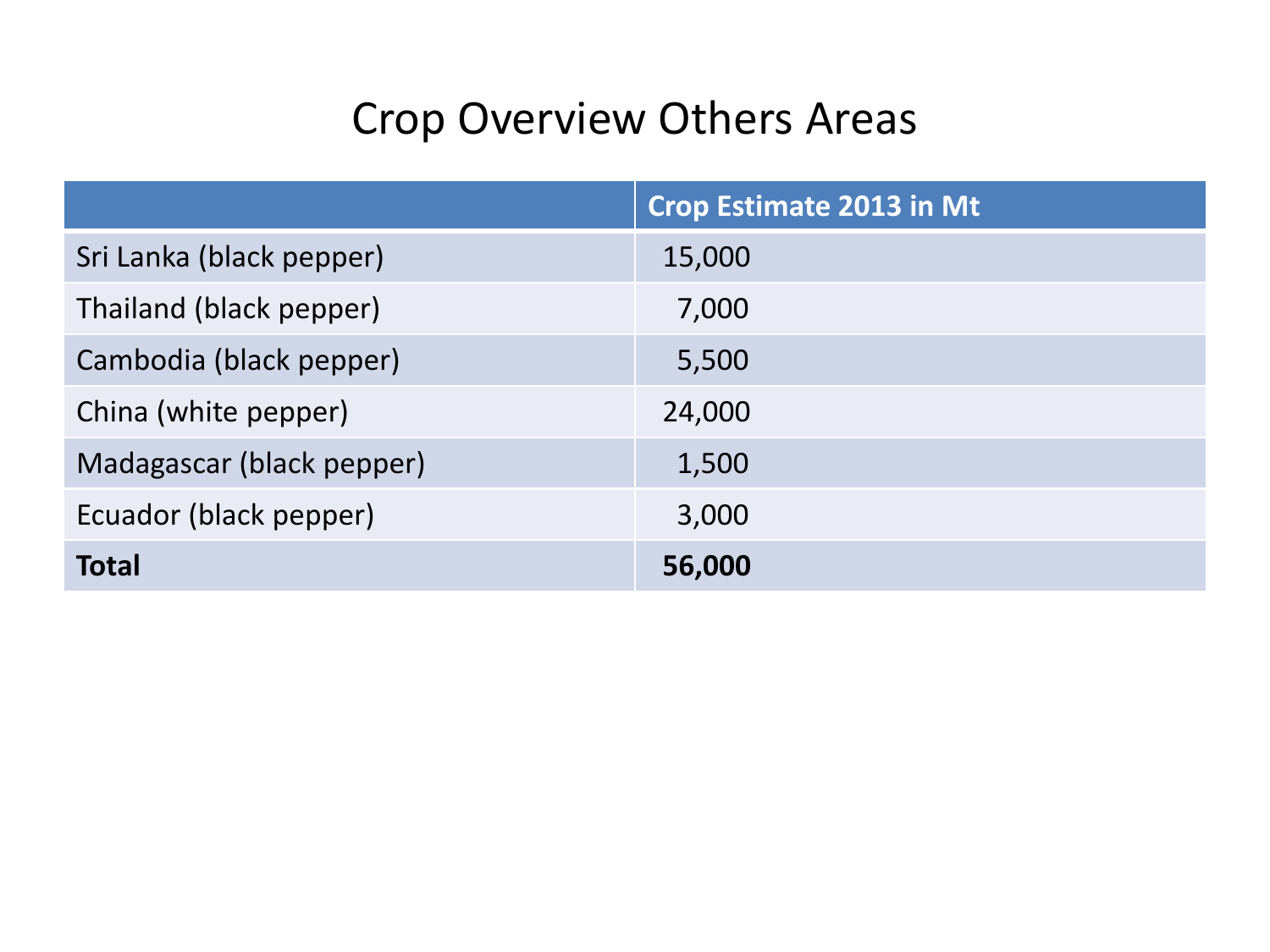#### Crop Overview Others Areas

|                           | <b>Crop Estimate 2013 in Mt</b> |
|---------------------------|---------------------------------|
| Sri Lanka (black pepper)  | 15,000                          |
| Thailand (black pepper)   | 7,000                           |
| Cambodia (black pepper)   | 5,500                           |
| China (white pepper)      | 24,000                          |
| Madagascar (black pepper) | 1,500                           |
| Ecuador (black pepper)    | 3,000                           |
| <b>Total</b>              | 56,000                          |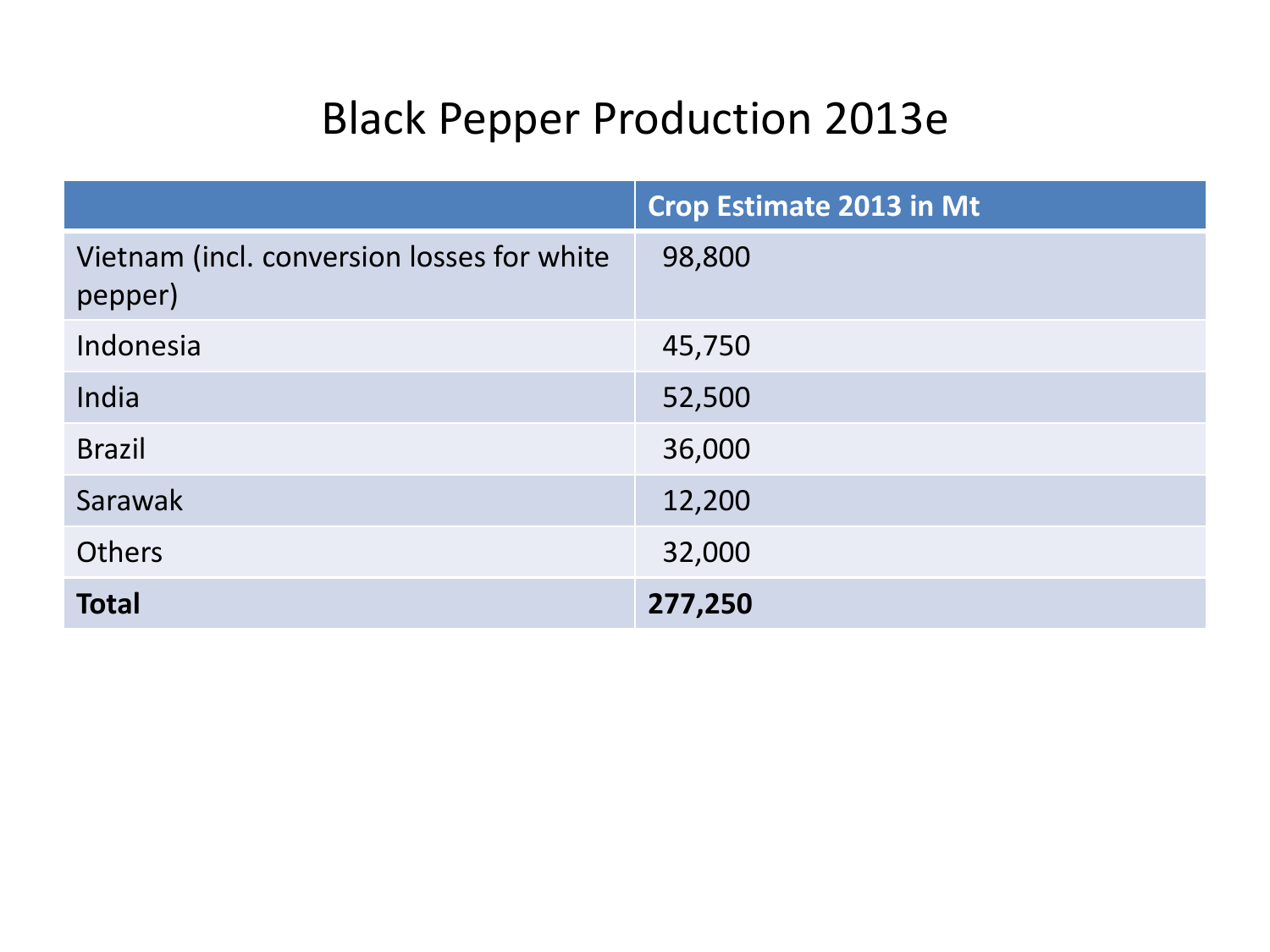#### Black Pepper Production 2013e

|                                                       | <b>Crop Estimate 2013 in Mt</b> |
|-------------------------------------------------------|---------------------------------|
| Vietnam (incl. conversion losses for white<br>pepper) | 98,800                          |
| Indonesia                                             | 45,750                          |
| India                                                 | 52,500                          |
| <b>Brazil</b>                                         | 36,000                          |
| Sarawak                                               | 12,200                          |
| <b>Others</b>                                         | 32,000                          |
| <b>Total</b>                                          | 277,250                         |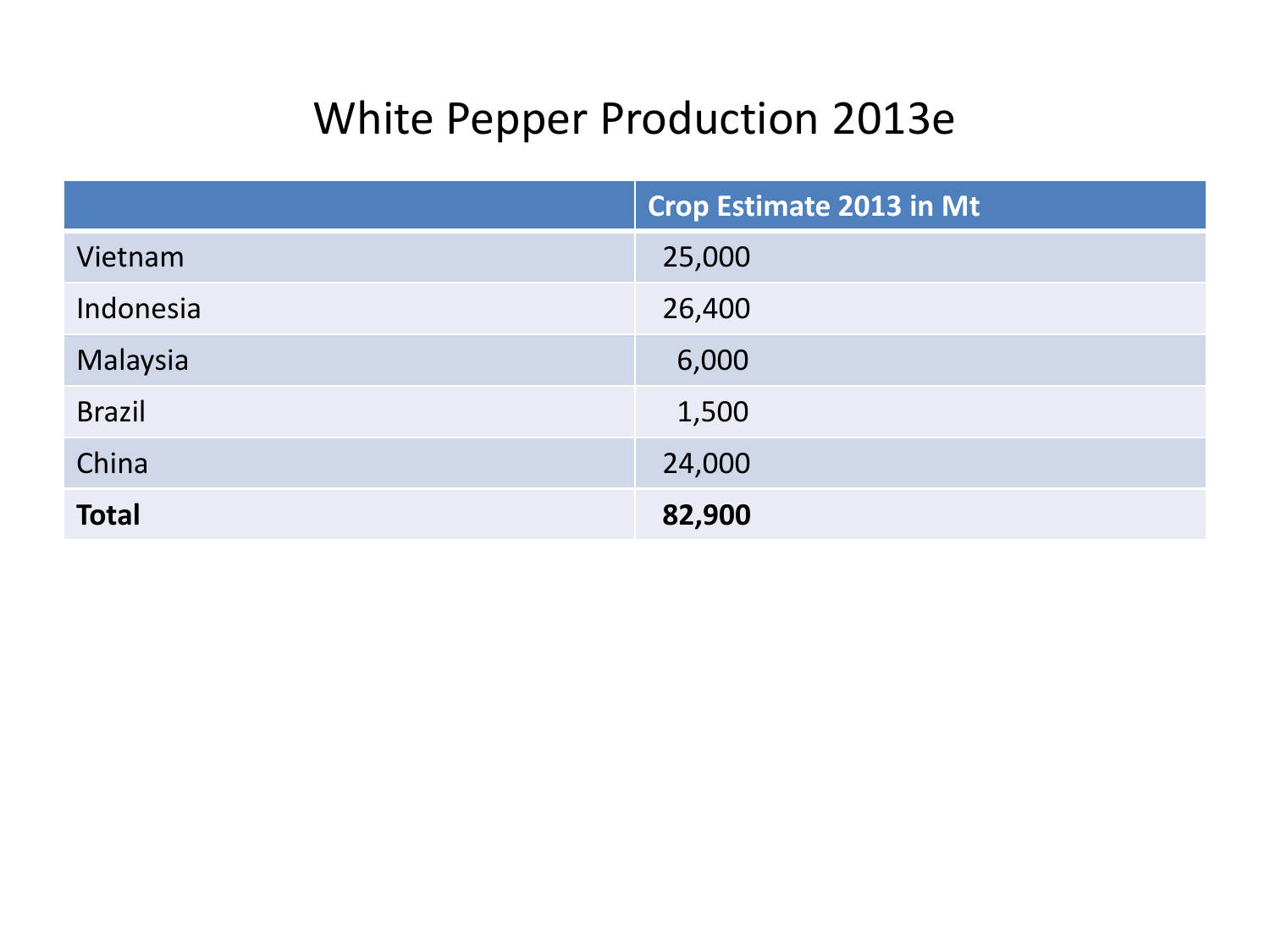#### White Pepper Production 2013e

|               | <b>Crop Estimate 2013 in Mt</b> |
|---------------|---------------------------------|
| Vietnam       | 25,000                          |
| Indonesia     | 26,400                          |
| Malaysia      | 6,000                           |
| <b>Brazil</b> | 1,500                           |
| China         | 24,000                          |
| <b>Total</b>  | 82,900                          |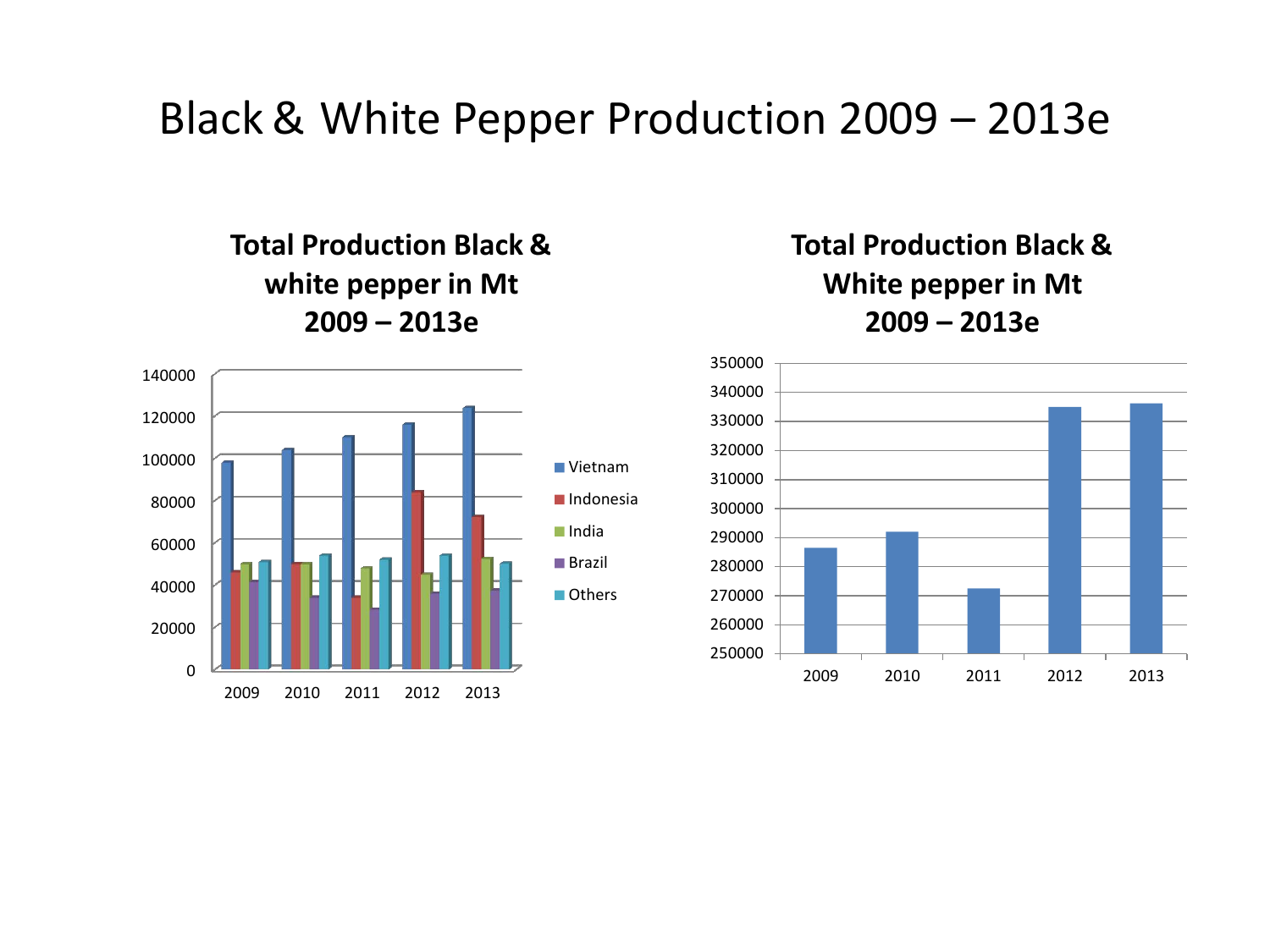#### Black & White Pepper Production 2009 – 2013e

**Total Production Black & white pepper in Mt – 2013e**



#### **Total Production Black & White pepper in Mt – 2013e**

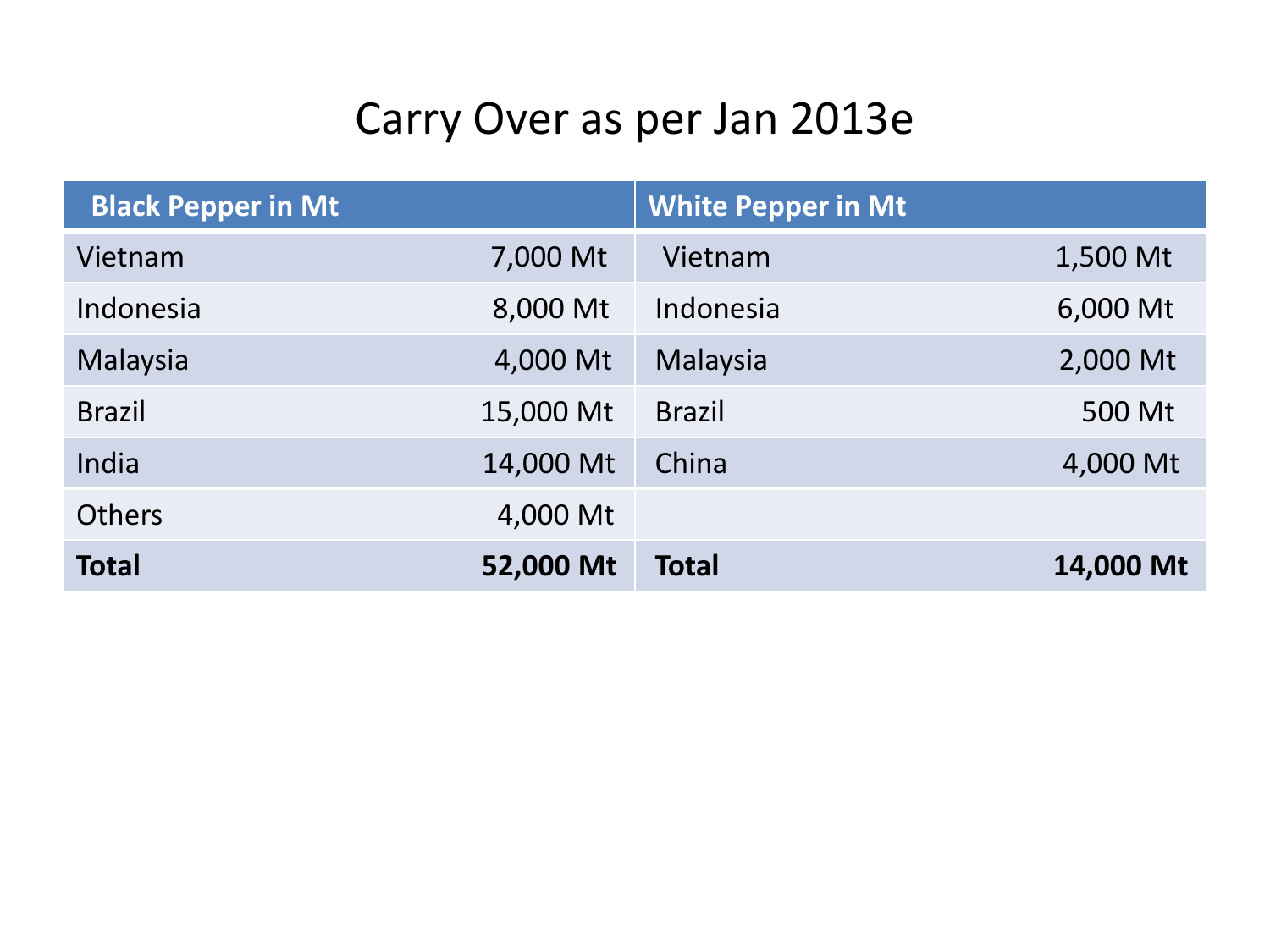#### Carry Over as per Jan 2013e

| <b>Black Pepper in Mt</b> |           | <b>White Pepper in Mt</b> |           |
|---------------------------|-----------|---------------------------|-----------|
| Vietnam                   | 7,000 Mt  | Vietnam                   | 1,500 Mt  |
| Indonesia                 | 8,000 Mt  | Indonesia                 | 6,000 Mt  |
| Malaysia                  | 4,000 Mt  | Malaysia                  | 2,000 Mt  |
| <b>Brazil</b>             | 15,000 Mt | <b>Brazil</b>             | 500 Mt    |
| India                     | 14,000 Mt | China                     | 4,000 Mt  |
| <b>Others</b>             | 4,000 Mt  |                           |           |
| <b>Total</b>              | 52,000 Mt | <b>Total</b>              | 14,000 Mt |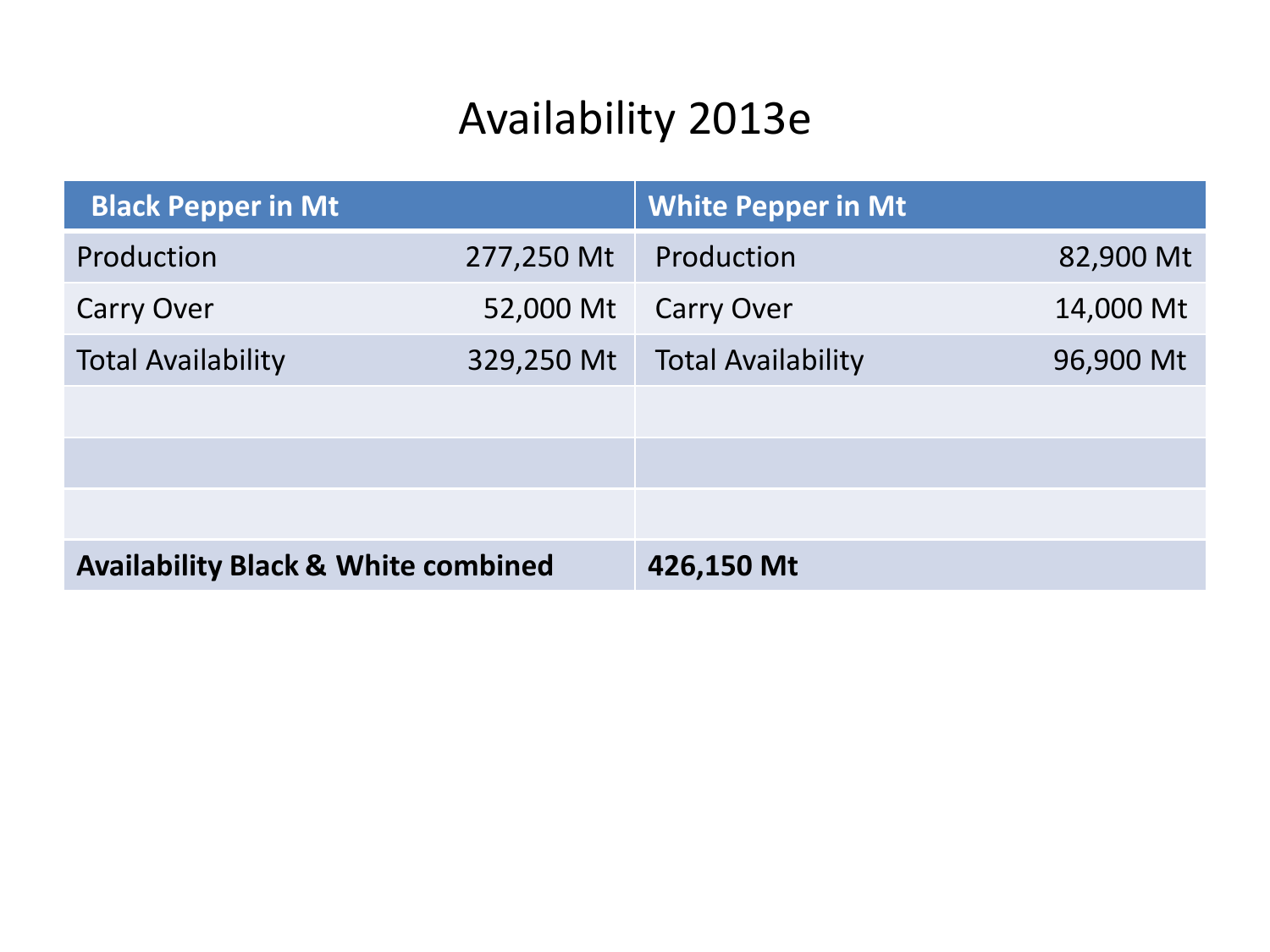#### Availability 2013e

| <b>Black Pepper in Mt</b>                      |            | <b>White Pepper in Mt</b> |           |
|------------------------------------------------|------------|---------------------------|-----------|
| Production                                     | 277,250 Mt | Production                | 82,900 Mt |
| <b>Carry Over</b>                              | 52,000 Mt  | <b>Carry Over</b>         | 14,000 Mt |
| <b>Total Availability</b>                      | 329,250 Mt | <b>Total Availability</b> | 96,900 Mt |
|                                                |            |                           |           |
|                                                |            |                           |           |
|                                                |            |                           |           |
| <b>Availability Black &amp; White combined</b> |            | 426,150 Mt                |           |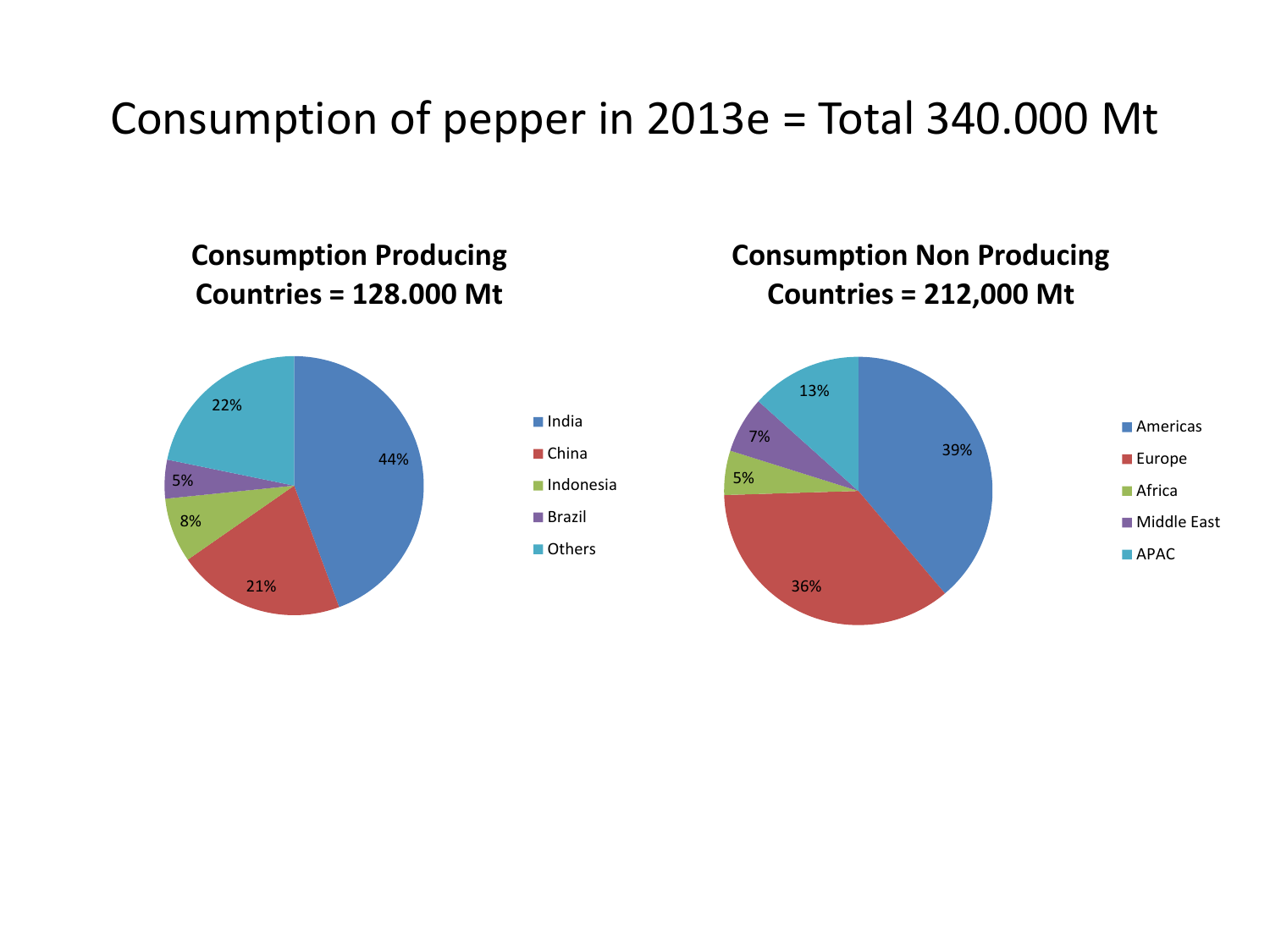#### Consumption of pepper in 2013e = Total 340.000 Mt

#### **Consumption Producing Countries = 128.000 Mt**



#### **Consumption Non Producing Countries = 212,000 Mt**

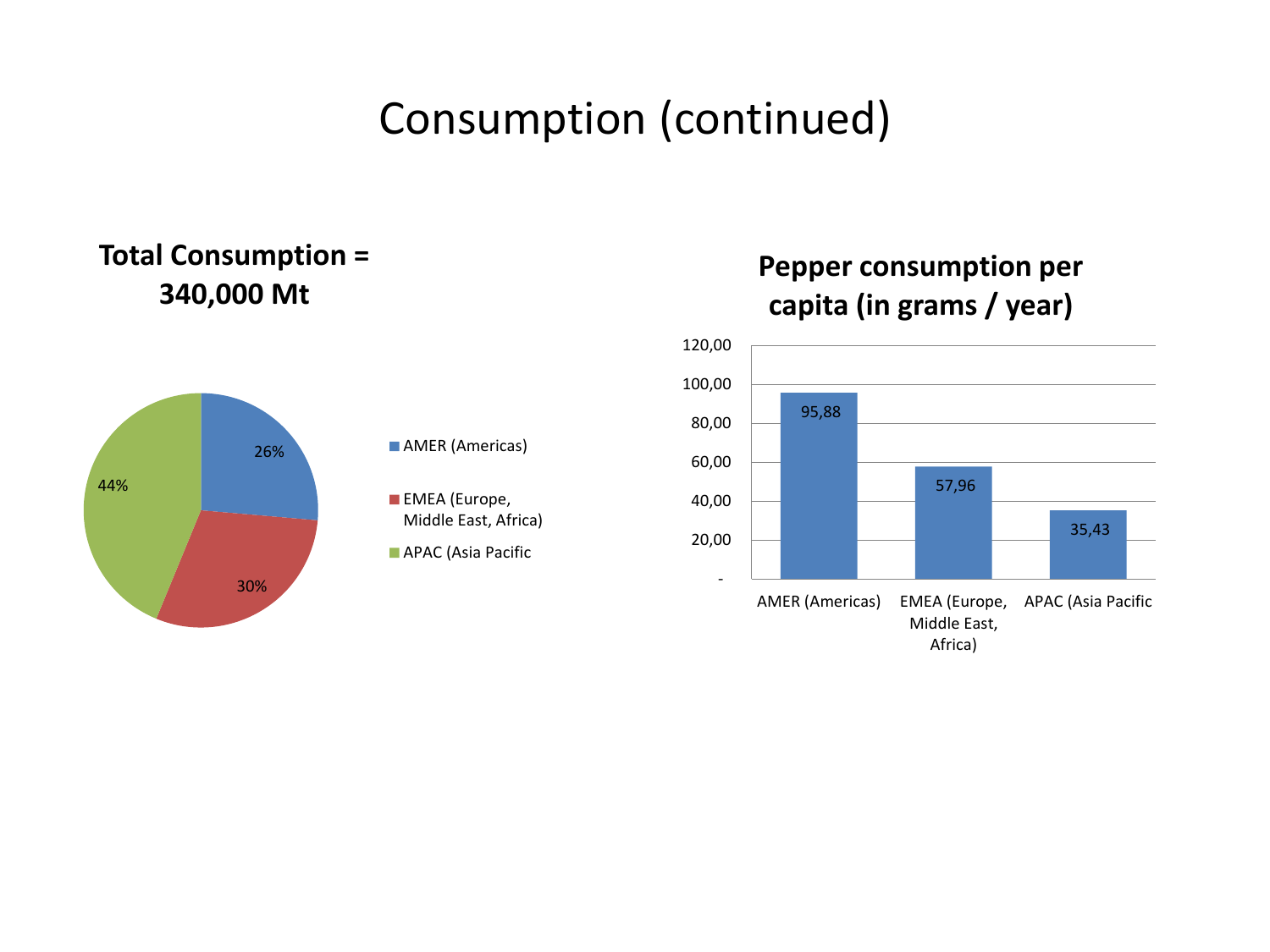#### Consumption (continued)

#### **Total Consumption = 340,000 Mt**



**AMER** (Americas)

- **EMEA** (Europe, Middle East, Africa)
- **APAC** (Asia Pacific

#### **Pepper consumption per capita (in grams / year)**

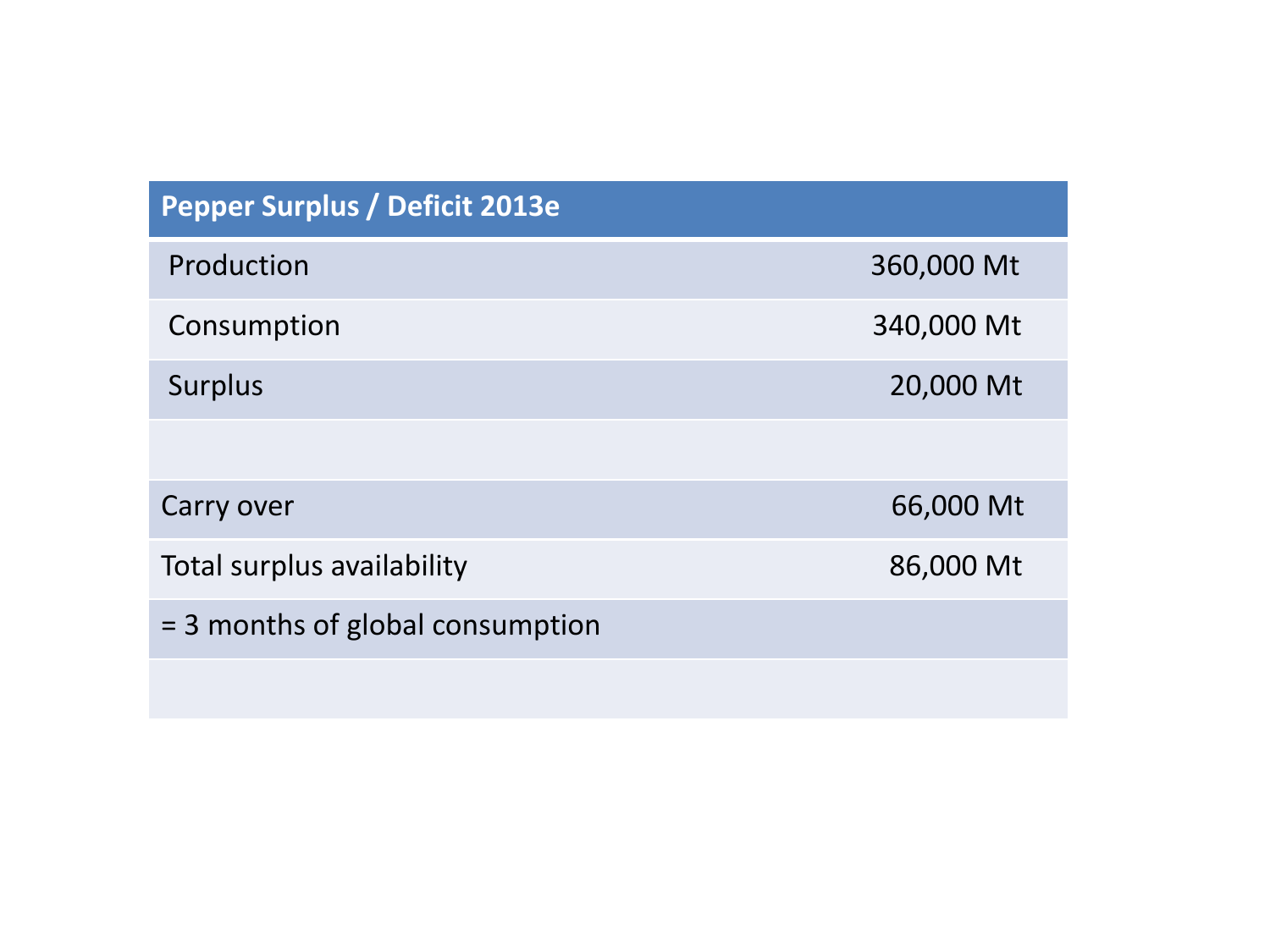| <b>Pepper Surplus / Deficit 2013e</b> |            |
|---------------------------------------|------------|
| Production                            | 360,000 Mt |
| Consumption                           | 340,000 Mt |
| Surplus                               | 20,000 Mt  |
|                                       |            |
| Carry over                            | 66,000 Mt  |
| Total surplus availability            | 86,000 Mt  |
| = 3 months of global consumption      |            |
|                                       |            |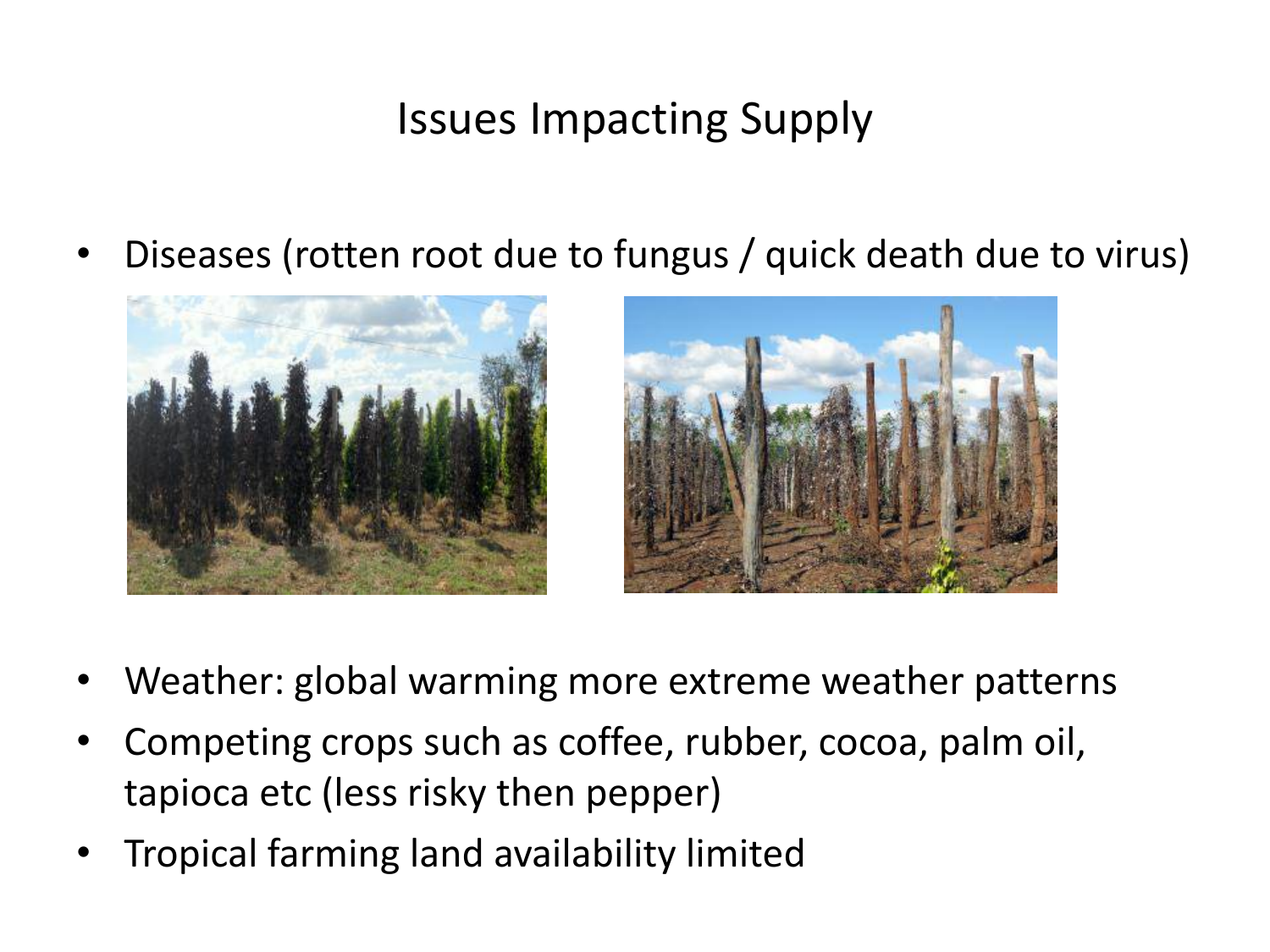#### Issues Impacting Supply

Diseases (rotten root due to fungus / quick death due to virus)





- Weather: global warming more extreme weather patterns
- Competing crops such as coffee, rubber, cocoa, palm oil, tapioca etc (less risky then pepper)
- Tropical farming land availability limited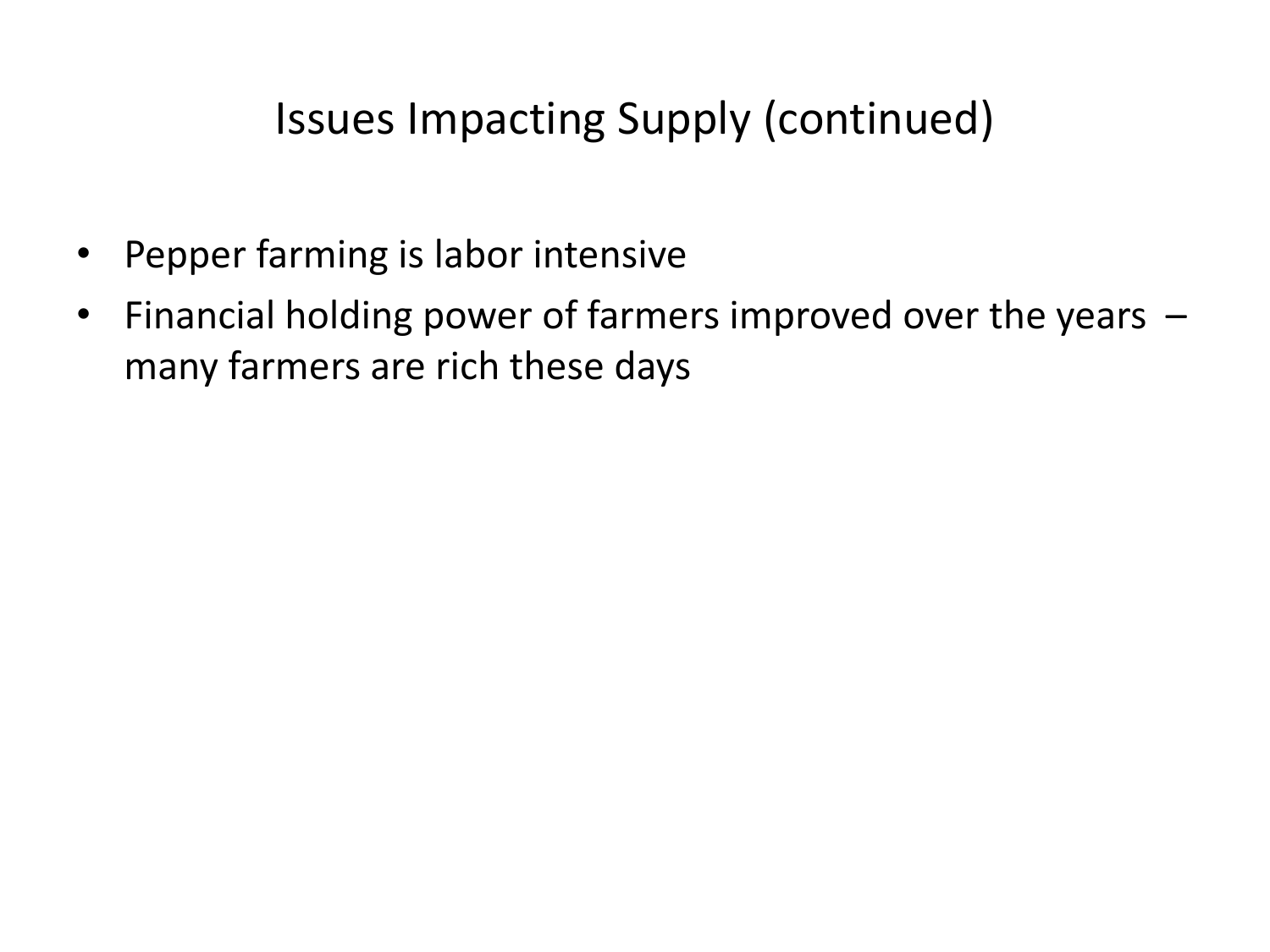#### Issues Impacting Supply (continued)

- Pepper farming is labor intensive
- Financial holding power of farmers improved over the years many farmers are rich these days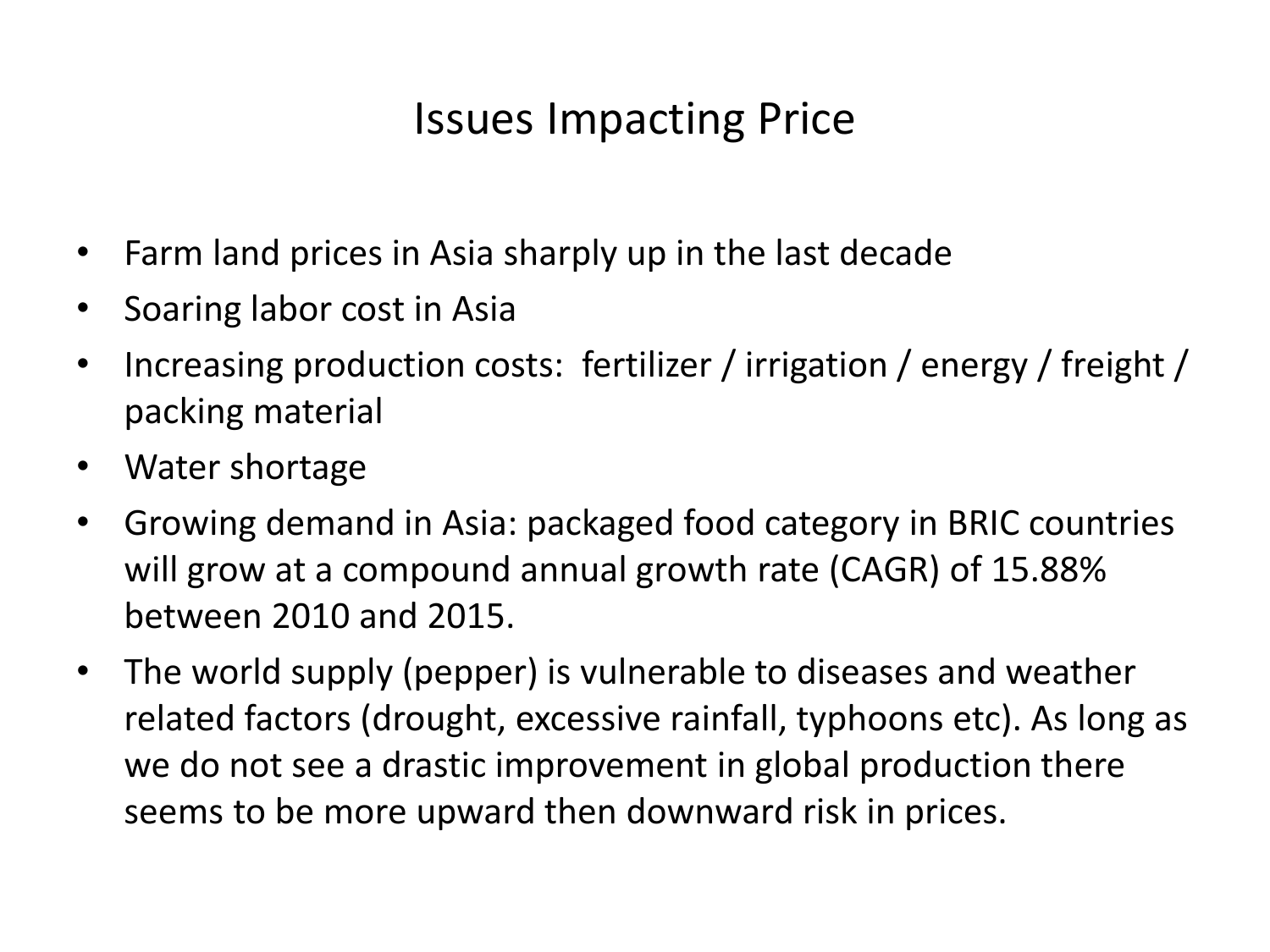#### Issues Impacting Price

- Farm land prices in Asia sharply up in the last decade
- Soaring labor cost in Asia
- Increasing production costs: fertilizer / irrigation / energy / freight / packing material
- Water shortage
- Growing demand in Asia: packaged food category in BRIC countries will grow at a compound annual growth rate (CAGR) of 15.88% between 2010 and 2015.
- The world supply (pepper) is vulnerable to diseases and weather related factors (drought, excessive rainfall, typhoons etc). As long as we do not see a drastic improvement in global production there seems to be more upward then downward risk in prices.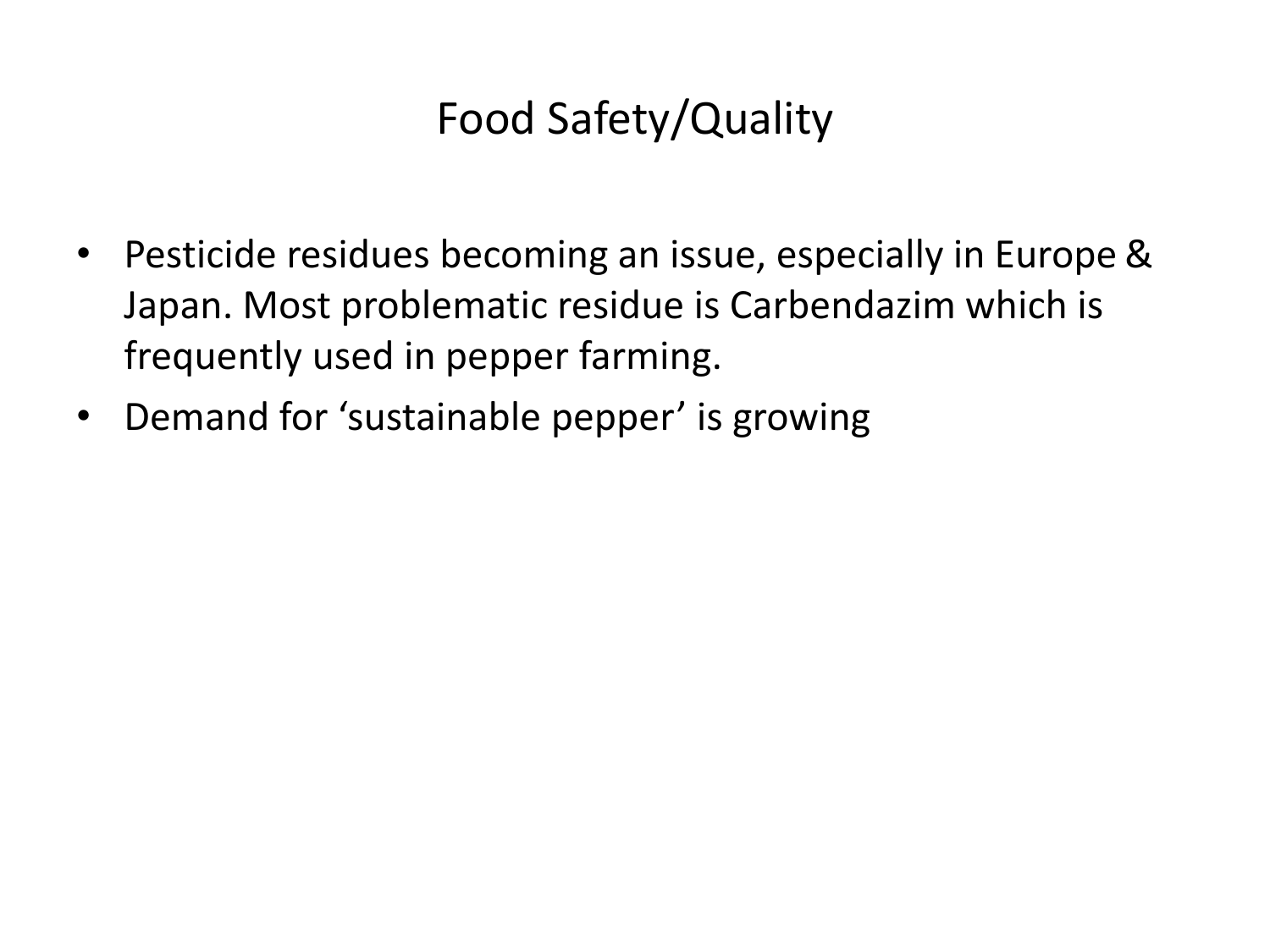## Food Safety/Quality

- Pesticide residues becoming an issue, especially in Europe & Japan. Most problematic residue is Carbendazim which is frequently used in pepper farming.
- Demand for 'sustainable pepper' is growing